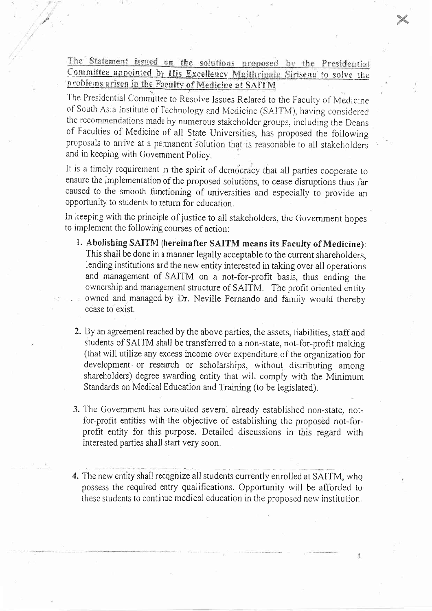The Statement issued on the solutions proposed by the Presidential Committee appointed by His Excellency Maithripala Sirisena to solve the problems arisen in the Faculty of Medicine at SAITM

The Presidential Committee to Resolve Issues Related to the Faculty of Medicine of South Asia Institute of Technology and Medicine (SAITM), having considered the recommendations made by numerous stakeholder groups, including the Deans of Faculties of Medicine of all State Universities, has proposed the following proposals to arrive at a permanent solution that is reasonable to all stakeholders and in keeping with Government Policy.

It is a timely requirement in the spirit of democracy that all parties cooperate to ensure the implementation of the proposed solutions, to cease disruptions thus far caused to the smooth functioning of universities and especially to provide an opportunity to students to return for education.

In keeping with the principle of justice to all stakeholders, the Government hopes to implement the following courses of action:

- 1. Abolishing SAITM (hereinafter SAITM means its Faculty of Medicine): This shall be done in a manner legally acceptable to the current shareholders, lending institutions and the new entity interested in taking over all operations and management of SAITM on a not-for-profit basis, thus ending the ownership and management structure of SAITM. The profit oriented entity owned and managed by Dr. Neville Fernando and family would thereby cease to exist.
- 2. By an agreement reached by the above parties, the assets, liabilities, staff and students of SAITM shall be transferred to a non-state, not-for-profit making (that will utilize any excess income over expenditure of the organization for development or research or scholarships, without distributing among shareholders) degree awarding entity that will comply with the Minimum Standards on Medical Education and Training (to be legislated).
- 3. The Government has consulted several already established non-state, notfor-profit entities with the objective of establishing the proposed not-forprofit entity for this purpose. Detailed discussions in this regard with interested parties shall start very soon.
- 4. The new entity shall recognize all students currently enrolled at SAITM, who possess the required entry qualifications. Opportunity will be afforded to these students to continue medical education in the proposed new institution.

1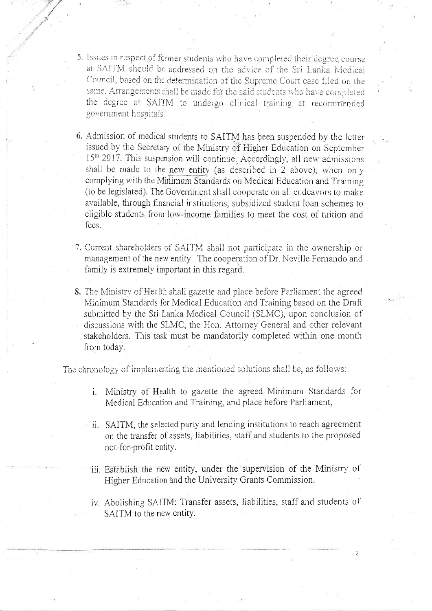- 5. Issues in respect of former students who have completed their degree course at SAITM should be addressed on the advice of the Sri Lanka Medical Council, based on the determination of the Supreme Court case filed on the same. Arrangements shall be made for the said students who have completed the degree at SAITM to undergo clinical training at recommended government hospitals.
- 6. Admission of medical students to SAITM has been suspended by the letter issued by the Secretary of the Ministry of Higher Education on September 15<sup>th</sup> 2017. This suspension will continue. Accordingly, all new admissions shall be made to the new entity (as described in 2 above), when only complying with the Minimum Standards on Medical Education and Training (to be legislated). The Government shall cooperate on all endeavors to make available, through financial institutions, subsidized student loan schemes to eligible students from low-income families to meet the cost of tuition and fees.
- 7. Current shareholders of SAITM shall not participate in the ownership or management of the new entity. The cooperation of Dr. Neville Fernando and family is extremely important in this regard.
- 8. The Ministry of Health shall gazette and place before Parliament the agreed Minimum Standards for Medical Education and Training based on the Draft submitted by the Sri Lanka Medical Council (SLMC), upon conclusion of discussions with the SLMC, the Hon. Attorney General and other relevant stakeholders. This task must be mandatorily completed within one month from today.

The chronology of implementing the mentioned solutions shall be, as follows:

- i. Ministry of Health to gazette the agreed Minimum Standards for Medical Education and Training, and place before Parliament,
- ii. SAITM, the selected party and lending institutions to reach agreement on the transfer of assets, liabilities, staff and students to the proposed not-for-profit entity.
- iii. Establish the new entity, under the supervision of the Ministry of Higher Education and the University Grants Commission.
- iv. Abolishing SAITM: Transfer assets, liabilities, staff and students of SAITM to the new entity.

 $\overline{2}$